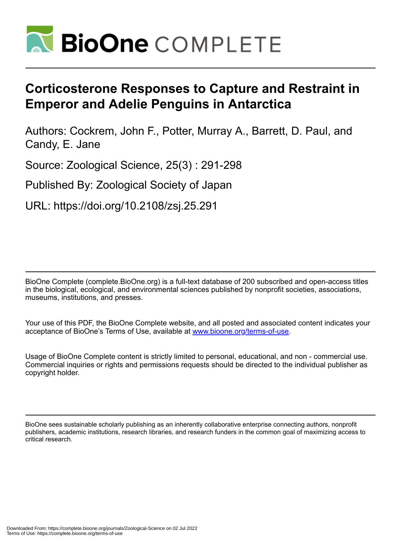

# **Corticosterone Responses to Capture and Restraint in Emperor and Adelie Penguins in Antarctica**

Authors: Cockrem, John F., Potter, Murray A., Barrett, D. Paul, and Candy, E. Jane

Source: Zoological Science, 25(3) : 291-298

Published By: Zoological Society of Japan

URL: https://doi.org/10.2108/zsj.25.291

BioOne Complete (complete.BioOne.org) is a full-text database of 200 subscribed and open-access titles in the biological, ecological, and environmental sciences published by nonprofit societies, associations, museums, institutions, and presses.

Your use of this PDF, the BioOne Complete website, and all posted and associated content indicates your acceptance of BioOne's Terms of Use, available at www.bioone.org/terms-of-use.

Usage of BioOne Complete content is strictly limited to personal, educational, and non - commercial use. Commercial inquiries or rights and permissions requests should be directed to the individual publisher as copyright holder.

BioOne sees sustainable scholarly publishing as an inherently collaborative enterprise connecting authors, nonprofit publishers, academic institutions, research libraries, and research funders in the common goal of maximizing access to critical research.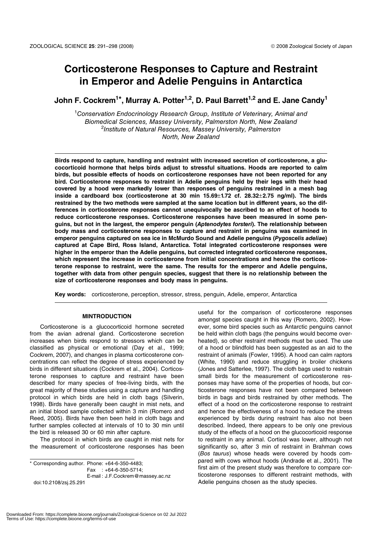# **Corticosterone Responses to Capture and Restraint in Emperor and Adelie Penguins in Antarctica**

John F. Cockrem<sup>1\*</sup>, Murray A. Potter<sup>1,2</sup>, D. Paul Barrett<sup>1,2</sup> and E. Jane Candy<sup>1</sup>

<sup>1</sup>Conservation Endocrinology Research Group, Institute of Veterinary, Animal and Biomedical Sciences, Massey University, Palmerston North, New Zealand <sup>2</sup>Institute of Natural Resources, Massey University, Palmerston North, New Zealand

**Birds respond to capture, handling and restraint with increased secretion of corticosterone, a glucocorticoid hormone that helps birds adjust to stressful situations. Hoods are reported to calm birds, but possible effects of hoods on corticosterone responses have not been reported for any bird. Corticosterone responses to restraint in Adelie penguins held by their legs with their head covered by a hood were markedly lower than responses of penguins restrained in a mesh bag inside a cardboard box (corticosterone at 30 min 15.69**±**1.72 cf. 28.32**±**2.75 ng/ml). The birds restrained by the two methods were sampled at the same location but in different years, so the differences in corticosterone responses cannot unequivocally be ascribed to an effect of hoods to reduce corticosterone responses. Corticosterone responses have been measured in some penguins, but not in the largest, the emperor penguin (***Aptenodytes forsteri***). The relationship between body mass and corticosterone responses to capture and restraint in penguins was examined in emperor penguins captured on sea ice in McMurdo Sound and Adelie penguins (***Pygoscelis adeliae***) captured at Cape Bird, Ross Island, Antarctica. Total integrated corticosterone responses were higher in the emperor than the Adelie penguins, but corrected integrated corticosterone responses, which represent the increase in corticosterone from initial concentrations and hence the corticosterone response to restraint, were the same. The results for the emperor and Adelie penguins, together with data from other penguin species, suggest that there is no relationship between the size of corticosterone responses and body mass in penguins.**

**Key words:** corticosterone, perception, stressor, stress, penguin, Adelie, emperor, Antarctica

# **MINTRODUCTION**

Corticosterone is a glucocorticoid hormone secreted from the avian adrenal gland. Corticosterone secretion increases when birds respond to stressors which can be classified as physical or emotional (Day et al., 1999; Cockrem, 2007), and changes in plasma corticosterone concentrations can reflect the degree of stress experienced by birds in different situations (Cockrem et al., 2004). Corticosterone responses to capture and restraint have been described for many species of free-living birds, with the great majority of these studies using a capture and handling protocol in which birds are held in cloth bags (Silverin, 1998). Birds have generally been caught in mist nets, and an initial blood sample collected within 3 min (Romero and Reed, 2005). Birds have then been held in cloth bags and further samples collected at intervals of 10 to 30 min until the bird is released 30 or 60 min after capture.

The protocol in which birds are caught in mist nets for the measurement of corticosterone responses has been

\* Corresponding author. Phone: +64-6-350-4483; Fax : +64-6-350-5714; E-mail : J.F.Cockrem@massey.ac.nz doi:10.2108/zsj.25.291

useful for the comparison of corticosterone responses amongst species caught in this way (Romero, 2002). However, some bird species such as Antarctic penguins cannot be held within cloth bags (the penguins would become overheated), so other restraint methods must be used. The use of a hood or blindfold has been suggested as an aid to the restraint of animals (Fowler, 1995). A hood can calm raptors (White, 1990) and reduce struggling in broiler chickens (Jones and Satterlee, 1997). The cloth bags used to restrain small birds for the measurement of corticosterone responses may have some of the properties of hoods, but corticosterone responses have not been compared between birds in bags and birds restrained by other methods. The effect of a hood on the corticosterone response to restraint and hence the effectiveness of a hood to reduce the stress experienced by birds during restraint has also not been described. Indeed, there appears to be only one previous study of the effects of a hood on the glucocorticoid response to restraint in any animal. Cortisol was lower, although not significantly so, after 3 min of restraint in Brahman cows (Bos taurus) whose heads were covered by hoods compared with cows without hoods (Andrade et al., 2001). The first aim of the present study was therefore to compare corticosterone responses to different restraint methods, with Adelie penguins chosen as the study species.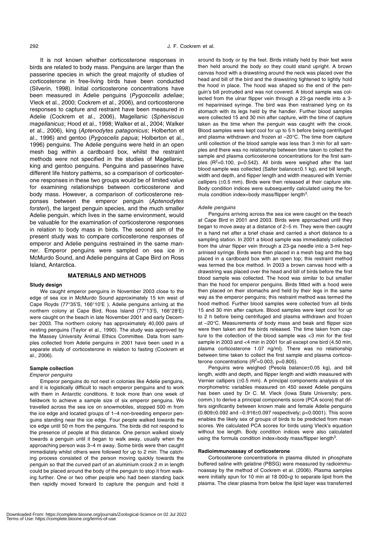It is not known whether corticosterone responses in birds are related to body mass. Penguins are larger than the passerine species in which the great majority of studies of corticosterone in free-living birds have been conducted (Silverin, 1998). Initial corticosterone concentrations have been measured in Adelie penguins (Pygoscelis adeliae; Vleck et al., 2000; Cockrem et al., 2006), and corticosterone responses to capture and restraint have been measured in Adelie (Cockrem et al., 2006), Magellanic (Spheniscus magellanicus; Hood et al., 1998; Walker et al., 2004; Walker et al., 2006), king (Aptenodytes patagonicus; Holberton et al., 1996) and gentoo (Pygoscelis papua; Holberton et al., 1996) penguins. The Adelie penguins were held in an open mesh bag within a cardboard box, whilst the restraint methods were not specified in the studies of Magellanic, king and gentoo penguins. Penguins and passerines have different life history patterns, so a comparison of corticosterone responses in these two groups would be of limited value for examining relationships between corticosterone and body mass. However, a comparison of corticosterone responses between the emperor penguin (Aptenodytes forsteri), the largest penguin species, and the much smaller Adelie penguin. which lives in the same environment, would be valuable for the examination of corticosterone responses in relation to body mass in birds. The second aim of the present study was to compare corticosterone responses of emperor and Adelie penguins restrained in the same manner. Emperor penguins were sampled on sea ice in McMurdo Sound, and Adelie penguins at Cape Bird on Ross Island, Antarctica.

#### **MATERIALS AND METHODS**

#### **Study design**

We caught emperor penguins in November 2003 close to the edge of sea ice in McMurdo Sound approximately 15 km west of Cape Royds (77°35'S, 166°10'E ). Adelie penguins arriving at the northern colony at Cape Bird, Ross Island (77°13'S, 166°28'E) were caught on the beach in late November 2001 and early December 2003. The northern colony has approximately 40,000 pairs of nesting penguins (Taylor et al., 1990). The study was approved by the Massey University Animal Ethics Committee. Data from samples collected from Adelie penguins in 2001 have been used in a separate study of corticosterone in relation to fasting (Cockrem et al., 2006).

#### **Sample collection**

#### Emperor penguins

Emperor penguins do not nest in colonies like Adelie penguins, and it is logistically difficult to reach emperor penguins and to work with them in Antarctic conditions. It took more than one week of fieldwork to achieve a sample size of six emperor penguins. We travelled across the sea ice on snowmobiles, stopped 500 m from the ice edge and located groups of 1–4 non-breeding emperor penguins standing near the ice edge. Four people walked towards the ice edge until 50 m from the penguins. The birds did not respond to the presence of people at this distance. One person walked slowly towards a penguin until it began to walk away, usually when the approaching person was 3–4 m away. Some birds were then caught immediately whilst others were followed for up to 2 min. The catching process consisted of the person moving quickly towards the penguin so that the curved part of an aluminium crook 2 m in length could be placed around the body of the penguin to stop it from walking further. One or two other people who had been standing back then rapidly moved forward to capture the penguin and hold it

around its body or by the feet. Birds initially held by their feet were then held around the body so they could stand upright. A brown canvas hood with a drawstring around the neck was placed over the head and bill of the bird and the drawstring tightened to lightly hold the hood in place. The hood was shaped so the end of the penguin's bill protruded and was not covered. A blood sample was collected from the ulnar flipper vein through a 23-ga needle into a 3 ml heparinised syringe. The bird was then restrained lying on its stomach with its legs held by the handler. Further blood samples were collected 15 and 30 min after capture, with the time of capture taken as the time when the penguin was caught with the crook. Blood samples were kept cool for up to 5 h before being centrifuged and plasma withdrawn and frozen at –20°C. The time from capture until collection of the blood sample was less than 3 min for all samples and there was no relationship between time taken to collect the sample and plasma corticosterone concentrations for the first samples  $(R^2=0.100, p=0.542)$ . All birds were weighed after the last blood sample was collected (Salter balance±0.1 kg), and bill length, width and depth, and flipper length and width measured with Vernier callipers (±0.5 mm). Birds were then released at their capture site. Body condition indices were subsequently calculated using the formula condition index=body mass/flipper length<sup>3</sup>.

#### Adelie penguins

Penguins arriving across the sea ice were caught on the beach at Cape Bird in 2001 and 2003. Birds were approached until they began to move away at a distance of 2–5 m. They were then caught in a hand net after a brief chase and carried a short distance to a sampling station. In 2001 a blood sample was immediately collected from the ulnar flipper vein through a 23-ga needle into a 3-ml heparinised syringe. Birds were then placed in a mesh bag and the bag placed in a cardboard box with an open top; this restraint method was termed the box method. In 2003 a brown canvas hood with a drawstring was placed over the head and bill of birds before the first blood sample was collected. The hood was similar to but smaller than the hood for emperor penguins. Birds fitted with a hood were then placed on their stomachs and held by their legs in the same way as the emperor penguins; this restraint method was termed the hood method. Further blood samples were collected from all birds 15 and 30 min after capture. Blood samples were kept cool for up to 2 h before being centrifuged and plasma withdrawn and frozen at –20°C. Measurements of body mass and beak and flipper size were then taken and the birds released. The time taken from capture to the collection of the blood sample was <3 min for the first sample in 2003 and <4 min in 2001 for all except one bird (4.50 min, plasma corticosterone 1.07 ng/ml). There was no relationship between time taken to collect the first sample and plasma corticosterone concentrations ( $R^2$ =0.003, p=0.805).

Penguins were weighed (Pesola balance±0.05 kg), and bill length, width and depth, and flipper length and width measured with Vernier callipers (±0.5 mm). A principal components analysis of six morphometric variables measured on 450 sexed Adelie penguins has been used by Dr C. M. Vleck (Iowa State University; pers. comm.) to derive a principal components score (PCA score) that differs significantly between known male and female Adelie penguins (0.809±0.092 and –0.916±0.097 respectively; p<0.0001). This score enables the likely sex of groups of birds to be predicted from mean scores. We calculated PCA scores for birds using Vleck's equation without toe length. Body condition indices were also calculated using the formula condition index=body mass/flipper length<sup>3</sup>.

#### **Radioimmunoassay of corticosterone**

Corticosterone concentrations in plasma diluted in phosphate buffered saline with gelatine (PBSG) were measured by radioimmunoassay by the method of Cockrem et al. (2006). Plasma samples were initially spun for 10 min at 18 000xg to separate lipid from the plasma. The clear plasma from below the lipid layer was transferred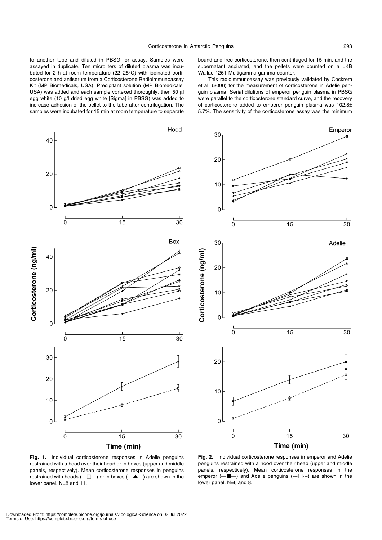to another tube and diluted in PBSG for assay. Samples were assayed in duplicate. Ten microliters of diluted plasma was incubated for 2 h at room temperature (22–25°C) with iodinated corticosterone and antiserum from a Corticosterone Radioimmunoassay Kit (MP Biomedicals, USA). Precipitant solution (MP Biomedicals, USA) was added and each sample vortexed thoroughly, then 50 μl egg white (10 g/l dried egg white [Sigma] in PBSG) was added to increase adhesion of the pellet to the tube after centrifugation. The samples were incubated for 15 min at room temperature to separate

bound and free corticosterone, then centrifuged for 15 min, and the supernatant aspirated, and the pellets were counted on a LKB Wallac 1261 Multigamma gamma counter.

This radioimmunoassay was previously validated by Cockrem et al. (2006) for the measurement of corticosterone in Adelie penguin plasma. Serial dilutions of emperor penguin plasma in PBSG were parallel to the corticosterone standard curve, and the recovery of corticosterone added to emperor penguin plasma was 102.8± 5.7%. The sensitivity of the corticosterone assay was the minimum





**Fig. 1.** Individual corticosterone responses in Adelie penguins restrained with a hood over their head or in boxes (upper and middle panels, respectively). Mean corticosterone responses in penguins restrained with hoods  $(-\Box - \Box)$  or in boxes  $(-\blacktriangle - \Box)$  are shown in the lower panel. N=8 and 11.

**Fig. 2.** Individual corticosterone responses in emperor and Adelie penguins restrained with a hood over their head (upper and middle panels, respectively). Mean corticosterone responses in the emperor (—■—) and Adelie penguins (---□---) are shown in the lower panel. N=6 and 8.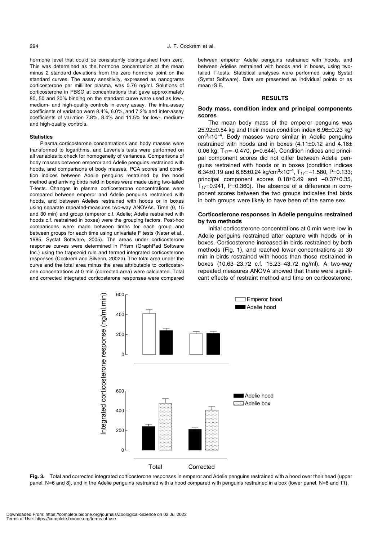hormone level that could be consistently distinguished from zero. This was determined as the hormone concentration at the mean minus 2 standard deviations from the zero hormone point on the standard curves. The assay sensitivity, expressed as nanograms corticosterone per milliliter plasma, was 0.76 ng/ml. Solutions of corticosterone in PBSG at concentrations that gave approximately 80, 50 and 20% binding on the standard curve were used as low-, medium- and high-quality controls in every assay. The intra-assay coefficients of variation were 8.4%, 6.0%, and 7.2% and inter-assay coefficients of variation 7.8%, 8.4% and 11.5% for low-, mediumand high-quality controls.

#### **Statistics**

Plasma corticosterone concentrations and body masses were transformed to logarithms, and Levene's tests were performed on all variables to check for homogeneity of variances. Comparisons of body masses between emperor and Adelie penguins restrained with hoods, and comparisons of body masses, PCA scores and condition indices between Adelie penguins restrained by the hood method and arriving birds held in boxes were made using two-tailed T-tests. Changes in plasma corticosterone concentrations were compared between emperor and Adelie penguins restrained with hoods, and between Adelies restrained with hoods or in boxes using separate repeated-measures two-way ANOVAs. Time (0, 15 and 30 min) and group (emperor c.f. Adelie; Adelie restrained with hoods c.f. restrained in boxes) were the grouping factors. Post-hoc comparisons were made between times for each group and between groups for each time using univariate F tests (Neter et al., 1985; Systat Software, 2005). The areas under corticosterone response curves were determined in Prism (GraphPad Software Inc.) using the trapezoid rule and termed integrated corticosterone responses (Cockrem and Silverin, 2002a). The total area under the curve and the total area minus the area attributable to corticosterone concentrations at 0 min (corrected area) were calculated. Total and corrected integrated corticosterone responses were compared between emperor Adelie penguins restrained with hoods, and between Adelies restrained with hoods and in boxes, using twotailed T-tests. Statistical analyses were performed using Systat (Systat Software). Data are presented as individual points or as mean±S.E.

## **RESULTS**

# **Body mass, condition index and principal components scores**

The mean body mass of the emperor penguins was 25.92±0.54 kg and their mean condition index 6.96±0.23 kg/  $cm<sup>3</sup>×10<sup>-4</sup>$ . Body masses were similar in Adelie penguins restrained with hoods and in boxes (4.11±0.12 and 4.16± 0.06 kg;  $T_{17}=-0.470$ ,  $p=0.644$ ). Condition indices and principal component scores did not differ between Adelie penguins restrained with hoods or in boxes (condition indices 6.34 $\pm$ 0.19 and 6.85 $\pm$ 0.24 kg/cm<sup>3</sup> $\times$ 10<sup>-4</sup>, T<sub>17</sub>=-1.580, P=0.133; principal component scores 0.18±0.49 and –0.37±0.35,  $T_{17}=0.941$ , P=0.360). The absence of a difference in component scores between the two groups indicates that birds in both groups were likely to have been of the same sex.

# **Corticosterone responses in Adelie penguins restrained by two methods**

Initial corticosterone concentrations at 0 min were low in Adelie penguins restrained after capture with hoods or in boxes. Corticosterone increased in birds restrained by both methods (Fig. 1), and reached lower concentrations at 30 min in birds restrained with hoods than those restrained in boxes (10.63–23.72 c.f. 15.23–43.72 ng/ml). A two-way repeated measures ANOVA showed that there were significant effects of restraint method and time on corticosterone,



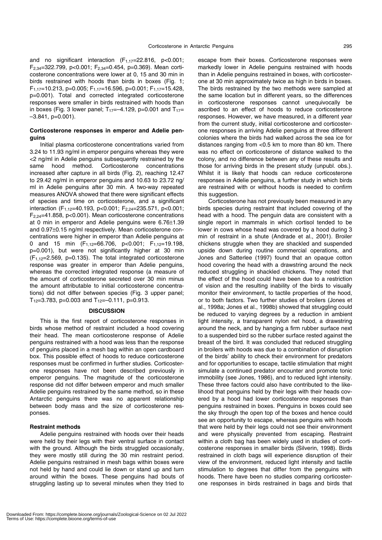and no significant interaction  $(F_{1,17}=22.816, p<0.001;$ F2,34=322.799, p<0.001; F2,34=0.454, p=0.369). Mean corticosterone concentrations were lower at 0, 15 and 30 min in birds restrained with hoods than birds in boxes (Fig. 1;  $F_{1,17}=10.213$ , p=0.005;  $F_{1,17}=16.596$ , p=0.001;  $F_{1,17}=15.428$ , p=0.001). Total and corrected integrated corticosterone responses were smaller in birds restrained with hoods than in boxes (Fig. 3 lower panel;  $T_{17}=-4.129$ , p=0.001 and  $T_{17}=$  $-3.841$ , p=0.001).

# **Corticosterone responses in emperor and Adelie penguins**

Initial plasma corticosterone concentrations varied from 3.24 to 11.93 ng/ml in emperor penguins whereas they were <2 ng/ml in Adelie penguins subsequently restrained by the same hood method. Corticosterone concentrations increased after capture in all birds (Fig. 2), reaching 12.47 to 29.42 ng/ml in emperor penguins and 10.63 to 23.72 ng/ ml in Adelie penguins after 30 min. A two-way repeated measures ANOVA showed that there were significant effects of species and time on corticosterone, and a significant interaction (F1,12=40.193, p<0.001; F2,24=235.571, p<0.001; F2,24=41.858, p<0.001). Mean corticosterone concentrations at 0 min in emperor and Adelie penguins were 6.76±1.39 and 0.97±0.15 ng/ml respectively. Mean corticosterone concentrations were higher in emperor than Adelie penguins at 0 and 15 min (F<sub>1,12</sub>=66.706, p<0.001; F<sub>1,12</sub>=19.198, p=0.001), but were not significantly higher at 30 min  $(F_{1,12}=2.569, p=0.135)$ . The total integrated corticosterone response was greater in emperor than Adelie penguins, whereas the corrected integrated response (a measure of the amount of corticosterone secreted over 30 min minus the amount attributable to initial corticosterone concentrations) did not differ between species (Fig. 3 upper panel;  $T_{12}=3.783$ , p=0.003 and  $T_{12}=-0.111$ , p=0.913.

# **DISCUSSION**

This is the first report of corticosterone responses in birds whose method of restraint included a hood covering their head. The mean corticosterone response of Adelie penguins restrained with a hood was less than the response of penguins placed in a mesh bag within an open cardboard box. This possible effect of hoods to reduce corticosterone responses must be confirmed in further studies. Corticosterone responses have not been described previously in emperor penguins. The magnitude of the corticosterone response did not differ between emperor and much smaller Adelie penguins restrained by the same method, so in these Antarctic penguins there was no apparent relationship between body mass and the size of corticosterone responses.

# **Restraint methods**

Adelie penguins restrained with hoods over their heads were held by their legs with their ventral surface in contact with the ground. Although the birds struggled occasionally, they were mostly still during the 30 min restraint period. Adelie penguins restrained in mesh bags within boxes were not held by hand and could lie down or stand up and turn around within the boxes. These penguins had bouts of struggling lasting up to several minutes when they tried to escape from their boxes. Corticosterone responses were markedly lower in Adelie penguins restrained with hoods than in Adelie penguins restrained in boxes, with corticosterone at 30 min approximately twice as high in birds in boxes. The birds restrained by the two methods were sampled at the same location but in different years, so the differences in corticosterone responses cannot unequivocally be ascribed to an effect of hoods to reduce corticosterone responses. However, we have measured, in a different year from the current study, initial corticosterone and corticosterone responses in arriving Adelie penguins at three different colonies where the birds had walked across the sea ice for distances ranging from <0.5 km to more than 80 km. There was no effect on corticosterone of distance walked to the colony, and no difference between any of these results and those for arriving birds in the present study (unpubl. obs.). Whilst it is likely that hoods can reduce corticosterone responses in Adelie penguins, a further study in which birds are restrained with or without hoods is needed to confirm this suggestion.

Corticosterone has not previously been measured in any birds species during restraint that included covering of the head with a hood. The penguin data are consistent with a single report in mammals in which cortisol tended to be lower in cows whose head was covered by a hood during 3 min of restraint in a shute (Andrade et al., 2001). Broiler chickens struggle when they are shackled and suspended upside down during routine commercial operations, and Jones and Satterlee (1997) found that an opaque cotton hood covering the head with a drawstring around the neck reduced struggling in shackled chickens. They noted that the effect of the hood could have been due to a restriction of vision and the resulting inability of the birds to visually monitor their environment, to tactile properties of the hood, or to both factors. Two further studies of broilers (Jones et al., 1998a; Jones et al., 1998b) showed that struggling could be reduced to varying degrees by a reduction in ambient light intensity, a transparent nylon net hood, a drawstring around the neck, and by hanging a firm rubber surface next to a suspended bird so the rubber surface rested against the breast of the bird. It was concluded that reduced struggling in broilers with hoods was due to a combination of disruption of the birds' ability to check their environment for predators and for opportunities to escape, tactile stimulation that might simulate a continued predator encounter and promote tonic immobility (see Jones, 1986), and to reduced light intensity. These three factors could also have contributed to the likelihood that penguins held by their legs with their heads covered by a hood had lower corticosterone responses than penguins restrained in boxes. Penguins in boxes could see the sky through the open top of the boxes and hence could see an opportunity to escape, whereas penguins with hoods that were held by their legs could not see their environment and were physically prevented from escaping. Restraint within a cloth bag has been widely used in studies of corticosterone responses in smaller birds (Silverin, 1998). Birds restrained in cloth bags will experience disruption of their view of the environment, reduced light intensity and tactile stimulation to degrees that differ from the penguins with hoods. There have been no studies comparing corticosterone responses in birds restrained in bags and birds that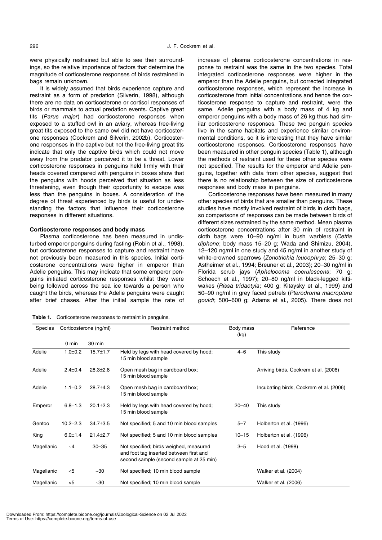were physically restrained but able to see their surroundings, so the relative importance of factors that determine the magnitude of corticosterone responses of birds restrained in bags remain unknown.

It is widely assumed that birds experience capture and restraint as a form of predation (Silverin, 1998), although there are no data on corticosterone or cortisol responses of birds or mammals to actual predation events. Captive great tits (Parus major) had corticosterone responses when exposed to a stuffed owl in an aviary, whereas free-living great tits exposed to the same owl did not have corticosterone responses (Cockrem and Silverin, 2002b). Corticosterone responses in the captive but not the free-living great tits indicate that only the captive birds which could not move away from the predator perceived it to be a threat. Lower corticosterone responses in penguins held firmly with their heads covered compared with penguins in boxes show that the penguins with hoods perceived that situation as less threatening, even though their opportunity to escape was less than the penguins in boxes. A consideration of the degree of threat experienced by birds is useful for understanding the factors that influence their corticosterone responses in different situations.

# **Corticosterone responses and body mass**

Plasma corticosterone has been measured in undisturbed emperor penguins during fasting (Robin et al., 1998), but corticosterone responses to capture and restraint have not previously been measured in this species. Initial corticosterone concentrations were higher in emperor than Adelie penguins. This may indicate that some emperor penguins initiated corticosterone responses whilst they were being followed across the sea ice towards a person who caught the birds, whereas the Adelie penguins were caught after brief chases. After the initial sample the rate of

**Table 1.** Corticosterone responses to restraint in penguins.

increase of plasma corticosterone concentrations in response to restraint was the same in the two species. Total integrated corticosterone responses were higher in the emperor than the Adelie penguins, but corrected integrated corticosterone responses, which represent the increase in corticosterone from initial concentrations and hence the corticosterone response to capture and restraint, were the same. Adelie penguins with a body mass of 4 kg and emperor penguins with a body mass of 26 kg thus had similar corticosterone responses. These two penguin species live in the same habitats and experience similar environmental conditions, so it is interesting that they have similar corticosterone responses. Corticosterone responses have been measured in other penguin species (Table 1), although the methods of restraint used for these other species were not specified. The results for the emperor and Adelie penguins, together with data from other species, suggest that there is no relationship between the size of corticosterone responses and body mass in penguins.

Corticosterone responses have been measured in many other species of birds that are smaller than penguins. These studies have mostly involved restraint of birds in cloth bags, so comparisons of responses can be made between birds of different sizes restrained by the same method. Mean plasma corticosterone concentrations after 30 min of restraint in cloth bags were 10–90 ng/ml in bush warblers (Cettia diphone; body mass 15–20 g; Wada and Shimizu, 2004), 12–120 ng/ml in one study and 45 ng/ml in another study of white-crowned sparrows (Zonotrichia leucophrys; 25–30 g; Astheimer et al., 1994; Breuner et al., 2003); 20–30 ng/ml in Florida scrub jays (Aphelocoma coerulescens; 70 g; Schoech et al., 1997); 20–80 ng/ml in black-legged kittiwakes (Rissa tridactyla; 400 g; Kitaysky et al., 1999) and 50–90 ng/ml in grey faced petrels (Pterodroma macroptera gouldi; 500–600 g; Adams et al., 2005). There does not

| <b>Species</b> | Corticosterone (ng/ml) |                | <b>Restraint method</b>                                                                                                      | Body mass<br>(kg) | Reference                               |
|----------------|------------------------|----------------|------------------------------------------------------------------------------------------------------------------------------|-------------------|-----------------------------------------|
|                | 0 min                  | 30 min         |                                                                                                                              |                   |                                         |
| Adelie         | $1.0 + 0.2$            | $15.7 \pm 1.7$ | Held by legs with head covered by hood;<br>15 min blood sample                                                               | $4 - 6$           | This study                              |
| Adelie         | $2.4 + 0.4$            | $28.3 \pm 2.8$ | Open mesh bag in cardboard box;<br>15 min blood sample                                                                       |                   | Arriving birds, Cockrem et al. (2006)   |
| Adelie         | $1.1 \pm 0.2$          | $28.7 + 4.3$   | Open mesh bag in cardboard box;<br>15 min blood sample                                                                       |                   | Incubating birds, Cockrem et al. (2006) |
| Emperor        | $6.8 \pm 1.3$          | $20.1 \pm 2.3$ | Held by legs with head covered by hood;<br>15 min blood sample                                                               | 20–40             | This study                              |
| Gentoo         | $10.2 + 2.3$           | $34.7 \pm 3.5$ | Not specified; 5 and 10 min blood samples                                                                                    | $5 - 7$           | Holberton et al. (1996)                 |
| King           | $6.0 \pm 1.4$          | $21.4 \pm 2.7$ | Not specified; 5 and 10 min blood samples                                                                                    | $10 - 15$         | Holberton et al. (1996)                 |
| Magellanic     | $-4$                   | $30 - 35$      | Not specified; birds weighed, measured<br>and foot tag inserted between first and<br>second sample (second sample at 25 min) | $3 - 5$           | Hood et al. (1998)                      |
| Magellanic     | $5$                    | $~1$ - 30      | Not specified; 10 min blood sample                                                                                           |                   | Walker et al. (2004)                    |
| Magellanic     | $<$ 5                  | $~10^{-1}$     | Not specified: 10 min blood sample                                                                                           |                   | Walker et al. (2006)                    |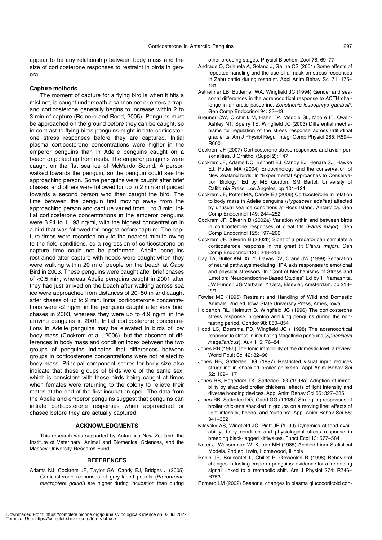appear to be any relationship between body mass and the size of corticosterone responses to restraint in birds in general.

# **Capture methods**

The moment of capture for a flying bird is when it hits a mist net, is caught underneath a cannon net or enters a trap, and corticosterone generally begins to increase within 2 to 3 min of capture (Romero and Reed, 2005). Penguins must be approached on the ground before they can be caught, so in contrast to flying birds penguins might initiate corticosterone stress responses before they are captured. Initial plasma corticosterone concentrations were higher in the emperor penguins than in Adelie penguins caught on a beach or picked up from nests. The emperor penguins were caught on the flat sea ice of McMurdo Sound. A person walked towards the penguin, so the penguin could see the approaching person. Some penguins were caught after brief chases, and others were followed for up to 2 min and guided towards a second person who then caught the bird. The time between the penguin first moving away from the approaching person and capture varied from 1 to 3 min. Initial corticosterone concentrations in the emperor penguins were 3.24 to 11.93 ng/ml, with the highest concentration in a bird that was followed for longest before capture. The capture times were recorded only to the nearest minute owing to the field conditions, so a regression of corticosterone on capture time could not be performed. Adelie penguins restrained after capture with hoods were caught when they were walking within 20 m of people on the beach at Cape Bird in 2003. These penguins were caught after brief chases of <0.5 min, whereas Adelie penguins caught in 2001 after they had just arrived on the beach after walking across sea ice were approached from distances of 20–50 m and caught after chases of up to 2 min. Initial corticosterone concentrations were <2 ng/ml in the penguins caught after very brief chases in 2003, whereas they were up to 4.9 ng/ml in the arriving penguins in 2001. Initial corticosterone concentrations in Adelie penguins may be elevated in birds of low body mass (Cockrem et al., 2006), but the absence of differences in body mass and condition index between the two groups of penguins indicates that differences between groups in corticosterone concentrations were not related to body mass. Principal component scores for body size also indicate that these groups of birds were of the same sex, which is consistent with these birds being caught at times when females were returning to the colony to relieve their mates at the end of the first incubation spell. The data from the Adelie and emperor penguins suggest that penguins can initiate corticosterone responses when approached or chased before they are actually captured.

#### **ACKNOWLEDGMENTS**

This research was supported by Antarctica New Zealand, the Institute of Veterinary, Animal and Biomedical Sciences, and the Massey University Research Fund.

#### **REFERENCES**

Adams NJ, Cockrem JF, Taylor GA, Candy EJ, Bridges J (2005) Corticosterone responses of grey-faced petrels (Pterodroma macroptera gouldi) are higher during incubation than during other breeding stages. Physiol Biochem Zool 78: 69–77

- Andrade O, Orihuela A, Solano J, Galina CS (2001) Some effects of repeated handling and the use of a mask on stress responses in Zebu cattle during restraint. Appl Anim Behav Sci 71: 175– 181
- Astheimer LB, Buttemer WA, Wingfield JC (1994) Gender and seasonal differences in the adrenocortical response to ACTH challenge in an arctic passerine, Zonotrichia leucophrys gambelli. Gen Comp Endocrinol 94: 33–43
- Breuner CW, Orchinik M, Hahn TP, Meddle SL, Moore IT, Owen-Ashley NT, Sperry TS, Wingfield JC (2003) Differential mechanisms for regulation of the stress response across latitudinal gradients. Am J Physiol Regul Integr Comp Physiol 285: R594– R600
- Cockrem JF (2007) Corticosterone stress responses and avian personalities. J Ornithol (Suppl 2): 147
- Cockrem JF, Adams DC, Bennett EJ, Candy EJ, Henare SJ, Hawke EJ, Potter MA (2004) Endocrinology and the conservation of New Zealand birds. In "Experimental Approaches to Conservation Biology" Ed by MS Gordon, SM Bartol, University of California Press, Los Angeles, pp 101–121
- Cockrem JF, Potter MA, Candy EJ (2006) Corticosterone in relation to body mass in Adelie penguins (Pygoscelis adeliae) affected by unusual sea ice conditions at Ross Island, Antarctica. Gen Comp Endocrinol 149: 244–252
- Cockrem JF, Silverin B (2002a) Variation within and between birds in corticosterone responses of great tits (Parus major). Gen Comp Endocrinol 125: 197–206
- Cockrem JF, Silverin B (2002b) Sight of a predator can stimulate a corticosterone response in the great tit (Parus major). Gen Comp Endocrinol 125: 248–255
- Day TA, Buller KM, Xu Y, Dayas CV, Crane JW (1999) Separation of neural pathways mediating HPA axis responses to emotional and physical stressors. In "Control Mechanisms of Stress and Emotion: Neuroendocrine-Based Studies" Ed by H Yamashita, JW Funder, JG Verbalis, Y Ueta, Elsevier, Amsterdam, pp 213– 221
- Fowler ME (1995) Restraint and Handling of Wild and Domestic Animals. 2nd ed, Iowa State University Press, Ames, Iowa
- Holberton RL, Helmuth B, Wingfield JC (1996) The corticosterone stress response in gentoo and king penguins during the nonfasting period. Condor 98: 850–854
- Hood LC, Boersma PD, Wingfield JC ( 1998) The adrenocortical response to stress in incubating Magellanic penguins (Spheniscus magellanicus). Auk 115: 76–84
- Jones RB (1986) The tonic immobility of the domestic fowl: a review. World Poult Sci 42: 82–96
- Jones RB, Satterlee DG (1997) Restricted visual input reduces struggling in shackled broiler chickens. Appl Anim Behav Sci 52: 109–117
- Jones RB, Hagedorn TK, Satterlee DG (1998a) Adoption of immobility by shackled broiler chickens: effects of light intensity and diverse hooding devices. Appl Anim Behav Sci 55: 327–335
- Jones RB, Satterlee DG, Cadd GG (1998b) Struggling responses of broiler chickens shackled in groups on a moving line: effects of light intensity, hoods, and 'curtains'. Appl Anim Behav Sci 58: 341–352
- Kitaysky AS, Wingfield JC, Piatt JF (1999) Dynamics of food availability, body condition and physiological stress response in breeding black-legged kittiwakes. Funct Ecol 13: 577–584
- Neter J, Wasserman W, Kutner MH (1985) Applied Liner Statistical Models. 2nd ed, Irwin, Homewood, Illinois
- Robin JP, Boucontet L, Chillet P, Groscolas R (1998) Behavioral changes in fasting emperor penguins: evidence for a 'refeeding signal' linked to a metabolic shift. Am J Physiol 274: R746– R753
- Romero LM (2002) Seasonal changes in plasma glucocorticoid con-